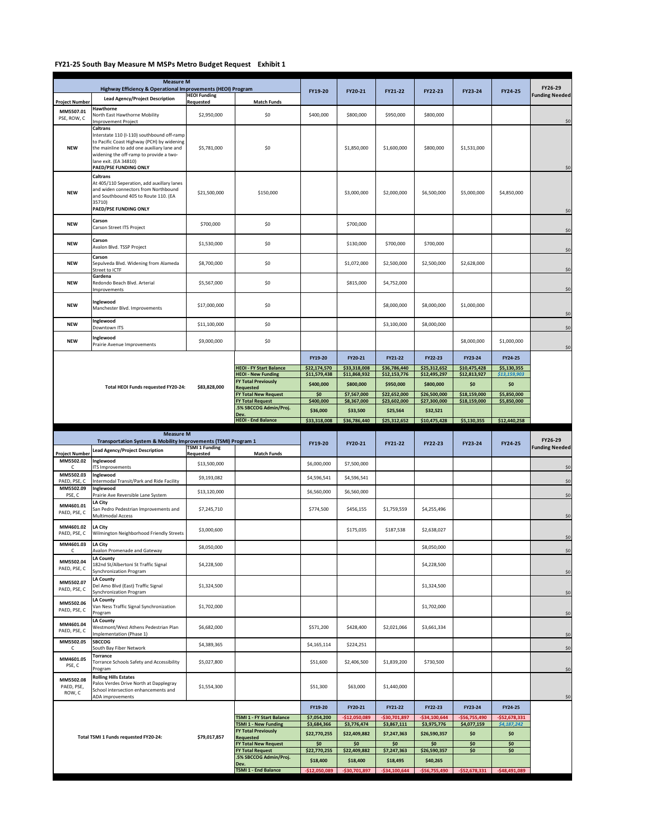## **FY21-25 South Bay Measure M MSPs Metro Budget Request Exhibit 1**

| <b>Measure M</b><br>Highway Efficiency & Operational Improvements (HEOI) Program |                                                                                                                                                                                                                                                                       |                                    |                                                             |                              |                              |                              |                              |                              |                             | FY26-29                                                                                     |
|----------------------------------------------------------------------------------|-----------------------------------------------------------------------------------------------------------------------------------------------------------------------------------------------------------------------------------------------------------------------|------------------------------------|-------------------------------------------------------------|------------------------------|------------------------------|------------------------------|------------------------------|------------------------------|-----------------------------|---------------------------------------------------------------------------------------------|
|                                                                                  | <b>Lead Agency/Project Description</b>                                                                                                                                                                                                                                | <b>HEOI Funding</b>                |                                                             | FY19-20                      | FY20-21                      | FY21-22                      | FY22-23                      | FY23-24                      | FY24-25                     | <b>Funding Needed</b>                                                                       |
| <b>Project Number</b><br>MM5507.01<br>PSE, ROW, C                                | Hawthorne<br>North East Hawthorne Mobility                                                                                                                                                                                                                            | Requested<br>\$2,950,000           | <b>Match Funds</b><br>\$0                                   | \$400,000                    | \$800,000                    | \$950,000                    | \$800,000                    |                              |                             |                                                                                             |
| <b>NEW</b>                                                                       | mprovement Project<br>Caltrans<br>Interstate 110 (I-110) southbound off-ramp<br>to Pacific Coast Highway (PCH) by widening<br>the mainline to add one auxiliary lane and<br>widening the off-ramp to provide a two-<br>lane exit. (EA 34810)<br>PAED/PSE FUNDING ONLY | \$5,781,000                        | \$0                                                         |                              | \$1,850,000                  | \$1,600,000                  | \$800,000                    | \$1,531,000                  |                             | \$0<br>\$0                                                                                  |
| <b>NEW</b>                                                                       | Caltrans<br>At 405/110 Seperation, add auxillary lanes<br>and widen connectors from Northbound<br>and Southbound 405 to Route 110. (EA<br>35710)<br>PAED/PSE FUNDING ONLY                                                                                             | \$21,500,000                       | \$150,000                                                   |                              | \$3,000,000                  | \$2,000,000                  | \$6,500,000                  | \$5,000,000                  | \$4,850,000                 | \$0                                                                                         |
| <b>NEW</b>                                                                       | Carson<br>Carson Street ITS Project                                                                                                                                                                                                                                   | \$700,000                          | \$0                                                         |                              | \$700,000                    |                              |                              |                              |                             | \$0                                                                                         |
| <b>NEW</b>                                                                       | Carson<br>Avalon Blvd. TSSP Project                                                                                                                                                                                                                                   | \$1,530,000                        | \$0                                                         |                              | \$130,000                    | \$700,000                    | \$700,000                    |                              |                             | \$0                                                                                         |
| <b>NEW</b>                                                                       | Carson<br>Sepulveda Blvd. Widening from Alameda<br>Street to ICTF                                                                                                                                                                                                     | \$8,700,000                        | \$0                                                         |                              | \$1,072,000                  | \$2,500,000                  | \$2,500,000                  | \$2,628,000                  |                             | \$0                                                                                         |
| <b>NEW</b>                                                                       | Gardena<br>Redondo Beach Blvd. Arterial<br>Improvements                                                                                                                                                                                                               | \$5,567,000                        | \$0                                                         |                              | \$815,000                    | \$4,752,000                  |                              |                              |                             | \$0                                                                                         |
| <b>NEW</b>                                                                       | Inglewood<br>Manchester Blvd. Improvements                                                                                                                                                                                                                            | \$17,000,000                       | \$0                                                         |                              |                              | \$8,000,000                  | \$8,000,000                  | \$1,000,000                  |                             | \$0                                                                                         |
| <b>NEW</b>                                                                       | Inglewood<br>Downtown ITS                                                                                                                                                                                                                                             | \$11,100,000                       | \$0                                                         |                              |                              | \$3,100,000                  | \$8,000,000                  |                              |                             | \$0                                                                                         |
| <b>NEW</b>                                                                       | Inglewood<br>Prairie Avenue Improvements                                                                                                                                                                                                                              | \$9,000,000                        | \$0                                                         |                              |                              |                              |                              | \$8,000,000                  | \$1,000,000                 | \$0                                                                                         |
|                                                                                  |                                                                                                                                                                                                                                                                       |                                    |                                                             | FY19-20                      | FY20-21                      | FY21-22                      | FY22-23                      | FY23-24                      | FY24-25                     |                                                                                             |
|                                                                                  |                                                                                                                                                                                                                                                                       |                                    | <b>HEOI - FY Start Balance</b><br><b>HEOI - New Funding</b> | \$22,174,570<br>\$11,579,438 | \$33,318,008<br>\$11,868,932 | \$36,786,440<br>\$12,153,776 | \$25,312,652<br>\$12,495,297 | \$10,475,428<br>\$12,813,927 | \$5,130,355<br>\$13,159,903 |                                                                                             |
|                                                                                  |                                                                                                                                                                                                                                                                       |                                    | <b>FY Total Previously</b>                                  | \$400,000                    | \$800,000                    | \$950,000                    | \$800,000                    | \$0                          | \$0                         |                                                                                             |
|                                                                                  | Total HEOI Funds requested FY20-24:                                                                                                                                                                                                                                   | \$83,828,000                       | Requested<br>FY Total New Request                           | \$0                          | \$7,567,000                  | \$22,652,000                 | \$26,500,000                 | \$18,159,000                 | \$5,850,000                 |                                                                                             |
|                                                                                  |                                                                                                                                                                                                                                                                       |                                    | FY Total Request<br>.5% SBCCOG Admin/Proj.                  | \$400,000                    | \$8,367,000                  | \$23,602,000                 | \$27,300,000                 | \$18,159,000                 | \$5,850,000                 |                                                                                             |
|                                                                                  |                                                                                                                                                                                                                                                                       |                                    | Dev.                                                        | \$36,000<br>\$33,318,008     | \$33,500<br>\$36,786,440     | \$25,564<br>\$25,312,652     | \$32,521<br>\$10,475,428     | \$5,130,355                  | \$12,440,258                |                                                                                             |
| <b>HEOI - End Balance</b>                                                        |                                                                                                                                                                                                                                                                       |                                    |                                                             |                              |                              |                              |                              |                              |                             |                                                                                             |
|                                                                                  | <b>Measure M</b><br>Transportation System & Mobility Improvements (TSMI) Program 1                                                                                                                                                                                    |                                    |                                                             |                              |                              |                              |                              |                              |                             |                                                                                             |
|                                                                                  |                                                                                                                                                                                                                                                                       |                                    |                                                             | FY19-20                      | FY20-21                      | FY21-22                      | FY22-23                      | FY23-24                      | FY24-25                     | FY26-29                                                                                     |
| <b>Project Number</b>                                                            | Lead Agency/Project Description                                                                                                                                                                                                                                       | <b>TSMI 1 Funding</b><br>Requested | <b>Match Funds</b>                                          |                              |                              |                              |                              |                              |                             |                                                                                             |
| MM5502.02<br>C.                                                                  | Inglewood<br>ITS Improvements                                                                                                                                                                                                                                         | \$13,500,000                       |                                                             | \$6,000,000                  | \$7,500,000                  |                              |                              |                              |                             |                                                                                             |
| MM5502.03<br>PAED, PSE, C                                                        | Inglewood<br>Intermodal Transit/Park and Ride Facility                                                                                                                                                                                                                | \$9,193,082                        |                                                             | \$4,596,541                  | \$4,596,541                  |                              |                              |                              |                             |                                                                                             |
| MM5502.09<br>PSE, C                                                              | Inglewood<br>Prairie Ave Reversible Lane System                                                                                                                                                                                                                       | \$13,120,000                       |                                                             | \$6,560,000                  | \$6,560,000                  |                              |                              |                              |                             |                                                                                             |
| MM4601.01<br>PAED, PSE, C                                                        | LA City<br>San Pedro Pedestrian Improvements and<br>Multimodal Access                                                                                                                                                                                                 | \$7,245,710                        |                                                             | \$774,500                    | \$456,155                    | \$1,759,559                  | \$4,255,496                  |                              |                             |                                                                                             |
| MM4601.02<br>PAED, PSE, C                                                        | LA City<br>Wilmington Neighborhood Friendly Streets                                                                                                                                                                                                                   | \$3,000,600                        |                                                             |                              | \$175,035                    | \$187,538                    | \$2,638,027                  |                              |                             |                                                                                             |
| MM4601.03                                                                        | LA City<br><b>Avalon Promenade and Gateway</b>                                                                                                                                                                                                                        | \$8,050,000                        |                                                             |                              |                              |                              | \$8,050,000                  |                              |                             |                                                                                             |
| MM5502.04<br>PAED, PSE, C                                                        | <b>LA County</b><br>182nd St/Albertoni St Traffic Signal<br>Synchronization Program                                                                                                                                                                                   | \$4,228,500                        |                                                             |                              |                              |                              | \$4,228,500                  |                              |                             |                                                                                             |
| MM5502.07<br>PAED, PSE, C                                                        | <b>LA County</b><br>Del Amo Blvd (East) Traffic Signal<br>Synchronization Program                                                                                                                                                                                     | \$1,324,500                        |                                                             |                              |                              |                              | \$1,324,500                  |                              |                             |                                                                                             |
| MM5502.06<br>PAED, PSE, C                                                        | <b>LA County</b><br>Van Ness Traffic Signal Synchronization<br>Program                                                                                                                                                                                                | \$1,702,000                        |                                                             |                              |                              |                              | \$1,702,000                  |                              |                             |                                                                                             |
| MM4601.04<br>PAED, PSE, C                                                        | <b>LA County</b><br>Westmont/West Athens Pedestrian Plan<br>Implementation (Phase 1)                                                                                                                                                                                  | \$6,682,000                        |                                                             | \$571,200                    | \$428,400                    | \$2,021,066                  | \$3,661,334                  |                              |                             | <b>Funding Needed</b><br>\$0<br>\$0<br>\$0<br>\$0<br>\$0<br>\$0<br>\$0<br>\$0<br>\$0<br>\$0 |
| MM5502.05                                                                        | <b>SBCCOG</b><br>South Bay Fiber Network                                                                                                                                                                                                                              | \$4,389,365                        |                                                             | \$4,165,114                  | \$224,251                    |                              |                              |                              |                             | \$0                                                                                         |
| MM4601.05<br>PSE, C                                                              | Torrance<br>Torrance Schools Safety and Accessibility<br>Program                                                                                                                                                                                                      | \$5,027,800                        |                                                             | \$51,600                     | \$2,406,500                  | \$1,839,200                  | \$730,500                    |                              |                             |                                                                                             |
| MM5502.08<br>PAED, PSE,<br>ROW, C                                                | <b>Rolling Hills Estates</b><br>Palos Verdes Drive North at Dapplegray<br>School intersection enhancements and<br>ADA improvements                                                                                                                                    | \$1,554,300                        |                                                             | \$51,300                     | \$63,000                     | \$1,440,000                  |                              |                              |                             |                                                                                             |
|                                                                                  |                                                                                                                                                                                                                                                                       |                                    |                                                             | FY19-20                      | FY20-21                      | FY21-22                      | FY22-23                      | FY23-24                      | FY24-25                     |                                                                                             |
|                                                                                  |                                                                                                                                                                                                                                                                       |                                    | TSMI 1 - FY Start Balance                                   | \$7,054,200                  | $-$12,050,089$               | $-530,701,897$               | $-534,100,644$               | $-556,755,490$               | $-552,678,331$              |                                                                                             |
|                                                                                  |                                                                                                                                                                                                                                                                       |                                    | TSMI 1 - New Funding<br><b>FY Total Previously</b>          | \$3,684,366<br>\$22,770,255  | \$3,776,474<br>\$22,409,882  | \$3,867,111<br>\$7,247,363   | \$3,975,776<br>\$26,590,357  | \$4,077,159<br>\$0           | \$4,187,242<br>\$0          |                                                                                             |
|                                                                                  | Total TSMI 1 Funds requested FY20-24:                                                                                                                                                                                                                                 | \$79,017,857                       | Requested<br>FY Total New Request                           | \$0                          | \$0                          | \$0                          | \$0                          | \$0                          | \$0                         | \$0<br>\$0                                                                                  |
|                                                                                  |                                                                                                                                                                                                                                                                       |                                    | FY Total Request<br>5% SBCCOG Admin/Proj.                   | \$22,770,255<br>\$18,400     | \$22,409,882<br>\$18,400     | \$7,247,363<br>\$18,495      | \$26,590,357<br>\$40,265     | \$0                          | \$0                         |                                                                                             |